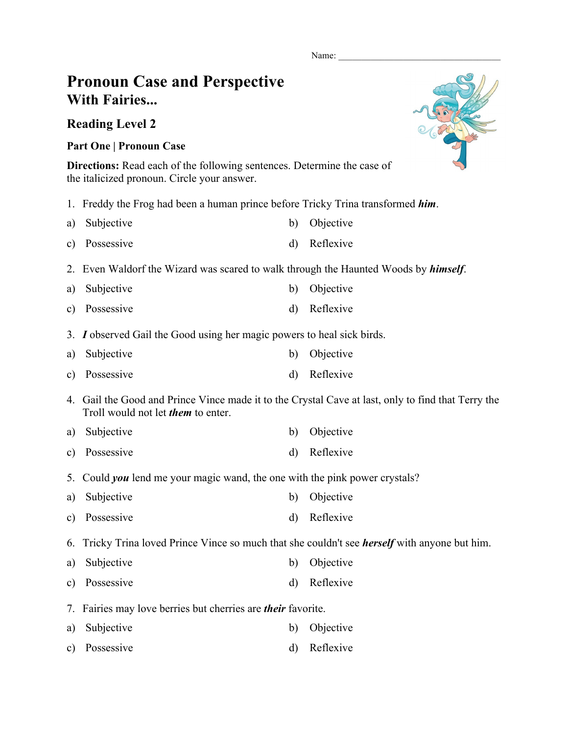Name:

## **Pronoun Case and Perspective With Fairies...**

**Reading Level 2**

## **Part One | Pronoun Case**

**Directions:** Read each of the following sentences. Determine the case of the italicized pronoun. Circle your answer.

1. Freddy the Frog had been a human prince before Tricky Trina transformed *him*.

| a) Subjective | b) Objective |
|---------------|--------------|
| c) Possessive | d) Reflexive |

- 2. Even Waldorf the Wizard was scared to walk through the Haunted Woods by *himself*.
- a) Subjective b) Objective
- c) Possessive d) Reflexive
- 3. *I* observed Gail the Good using her magic powers to heal sick birds.
- a) Subjective b) Objective
- c) Possessive d) Reflexive
- 4. Gail the Good and Prince Vince made it to the Crystal Cave at last, only to find that Terry the Troll would not let *them* to enter.
- a) Subjective b) Objective
- c) Possessive d) Reflexive
- 5. Could *you* lend me your magic wand, the one with the pink power crystals?
- a) Subjective b) Objective
- c) Possessive d) Reflexive
- 6. Tricky Trina loved Prince Vince so much that she couldn't see *herself* with anyone but him.
- a) Subjective b) Objective
- c) Possessive d) Reflexive
- 7. Fairies may love berries but cherries are *their* favorite.
- a) Subjective b) Objective
- c) Possessive d) Reflexive

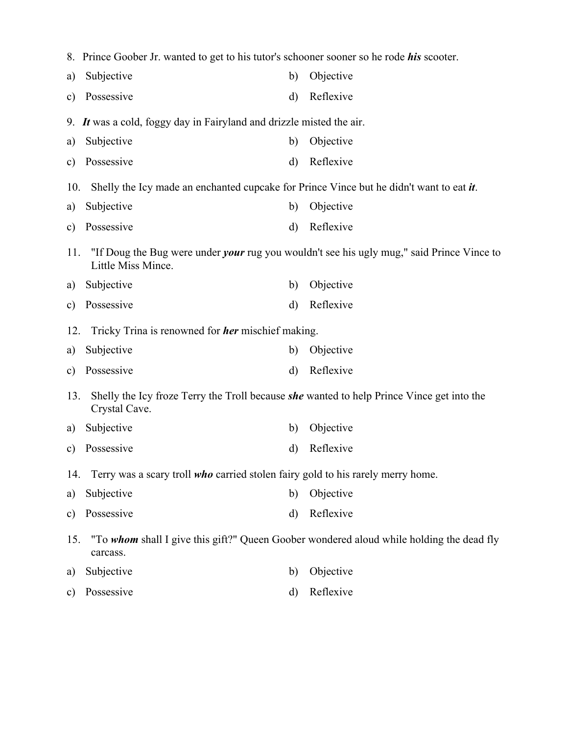|               | 8. Prince Goober Jr. wanted to get to his tutor's schooner sooner so he rode <i>his</i> scooter.                  |              |                                                                                                  |  |  |  |  |  |
|---------------|-------------------------------------------------------------------------------------------------------------------|--------------|--------------------------------------------------------------------------------------------------|--|--|--|--|--|
| a)            | Subjective                                                                                                        | b)           | Objective                                                                                        |  |  |  |  |  |
| $\mathbf{c})$ | Possessive                                                                                                        | $\rm d$      | Reflexive                                                                                        |  |  |  |  |  |
|               | 9. It was a cold, foggy day in Fairyland and drizzle misted the air.                                              |              |                                                                                                  |  |  |  |  |  |
| a)            | Subjective                                                                                                        | b)           | Objective                                                                                        |  |  |  |  |  |
| c)            | Possessive                                                                                                        | d)           | Reflexive                                                                                        |  |  |  |  |  |
| 10.           | Shelly the Icy made an enchanted cupcake for Prince Vince but he didn't want to eat $\boldsymbol{i}$ .            |              |                                                                                                  |  |  |  |  |  |
| a)            | Subjective                                                                                                        | b)           | Objective                                                                                        |  |  |  |  |  |
| $\mathbf{c})$ | Possessive                                                                                                        | d)           | Reflexive                                                                                        |  |  |  |  |  |
| 11.           | Little Miss Mince.                                                                                                |              | "If Doug the Bug were under <i>your</i> rug you wouldn't see his ugly mug," said Prince Vince to |  |  |  |  |  |
| a)            | Subjective                                                                                                        | b)           | Objective                                                                                        |  |  |  |  |  |
| $\mathbf{c})$ | Possessive                                                                                                        | $\rm d)$     | Reflexive                                                                                        |  |  |  |  |  |
| 12.           | Tricky Trina is renowned for <i>her</i> mischief making.                                                          |              |                                                                                                  |  |  |  |  |  |
| a)            | Subjective                                                                                                        | $\mathbf{b}$ | Objective                                                                                        |  |  |  |  |  |
| $\mathbf{c})$ | Possessive                                                                                                        | $\rm d)$     | Reflexive                                                                                        |  |  |  |  |  |
| 13.           | Shelly the Icy froze Terry the Troll because <i>she</i> wanted to help Prince Vince get into the<br>Crystal Cave. |              |                                                                                                  |  |  |  |  |  |
| a)            | Subjective                                                                                                        | b)           | Objective                                                                                        |  |  |  |  |  |
| $\mathbf{c})$ | Possessive                                                                                                        | d)           | Reflexive                                                                                        |  |  |  |  |  |
|               | Terry was a scary troll who carried stolen fairy gold to his rarely merry home.<br>14.                            |              |                                                                                                  |  |  |  |  |  |
| a)            | Subjective                                                                                                        | b)           | Objective                                                                                        |  |  |  |  |  |
| $\mathbf{c})$ | Possessive                                                                                                        | $\rm d$      | Reflexive                                                                                        |  |  |  |  |  |
| 15.           | "To whom shall I give this gift?" Queen Goober wondered aloud while holding the dead fly<br>carcass.              |              |                                                                                                  |  |  |  |  |  |
| a)            | Subjective                                                                                                        | b)           | Objective                                                                                        |  |  |  |  |  |
| $\mathbf{c})$ | Possessive                                                                                                        | d)           | Reflexive                                                                                        |  |  |  |  |  |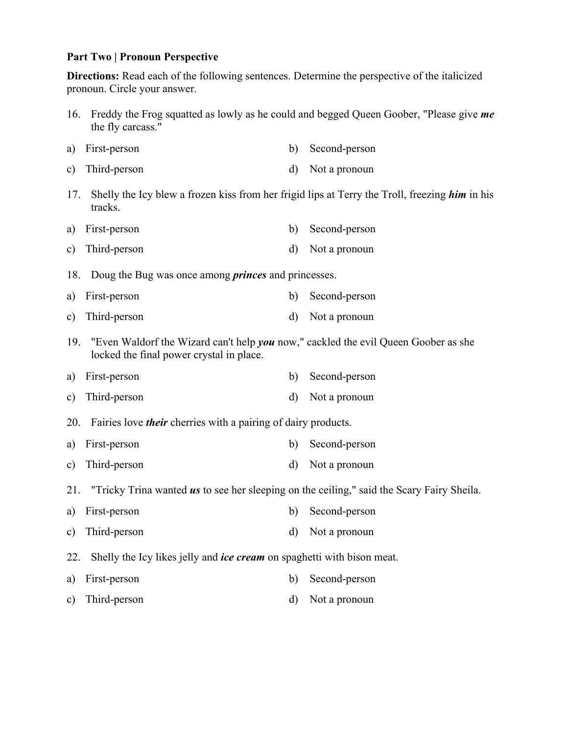## **Part Two | Pronoun Perspective**

**Directions:** Read each of the following sentences. Determine the perspective of the italicized pronoun. Circle your answer.

- 16. Freddy the Frog squatted as lowly as he could and begged Queen Goober, "Please give *me* the fly carcass."
- a) First-person b) Second-person c) Third-person d) Not a pronoun
- 17. Shelly the Icy blew a frozen kiss from her frigid lips at Terry the Troll, freezing *him* in his tracks.
- a) First-person b) Second-person
- c) Third-person d) Not a pronoun

18. Doug the Bug was once among *princes* and princesses.

- a) First-person b) Second-person
- c) Third-person d) Not a pronoun
- 19. "Even Waldorf the Wizard can't help *you* now," cackled the evil Queen Goober as she locked the final power crystal in place.
- a) First-person b) Second-person
- c) Third-person d) Not a pronoun
- 20. Fairies love *their* cherries with a pairing of dairy products.
- a) First-person b) Second-person
- c) Third-person d) Not a pronoun
- 21. "Tricky Trina wanted *us* to see her sleeping on the ceiling," said the Scary Fairy Sheila.
- a) First-person b) Second-person
- c) Third-person d) Not a pronoun
- 22. Shelly the Icy likes jelly and *ice cream* on spaghetti with bison meat.
- a) First-person b) Second-person
- c) Third-person d) Not a pronoun